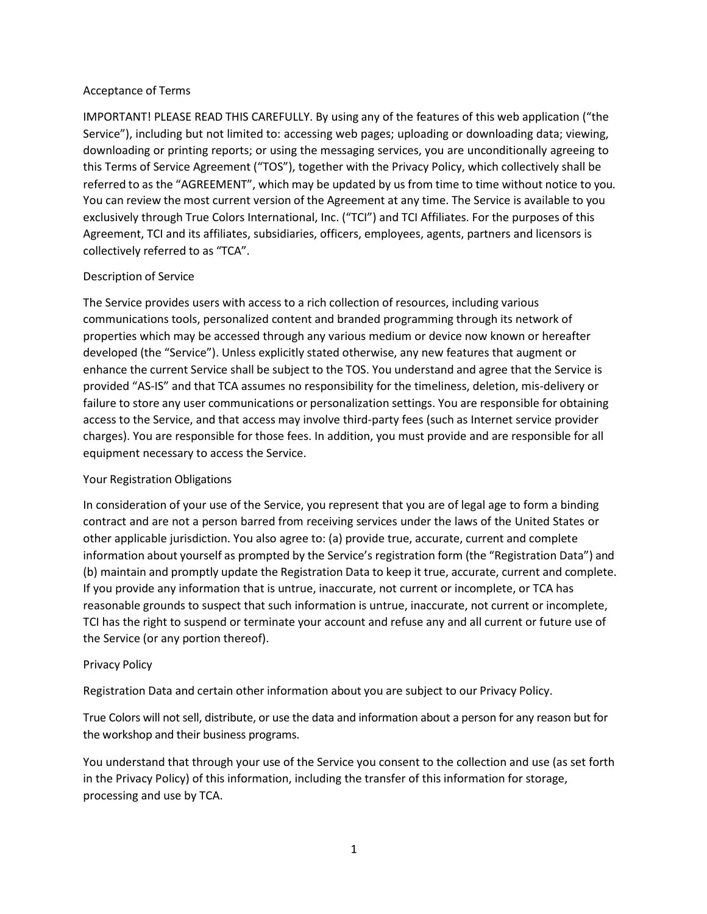### Acceptance of Terms

IMPORTANT! PLEASE READ THIS CAREFULLY. By using any of the features of this web application ("the Service"), including but not limited to: accessing web pages; uploading or downloading data; viewing, downloading or printing reports; or using the messaging services, you are unconditionally agreeing to this Terms of Service Agreement ("TOS"), together with the Privacy Policy, which collectively shall be referred to as the "AGREEMENT", which may be updated by us from time to time without notice to you. You can review the most current version of the Agreement at any time. The Service is available to you exclusively through True Colors International, Inc. ("TCI") and TCI Affiliates. For the purposes of this Agreement, TCI and its affiliates, subsidiaries, officers, employees, agents, partners and licensors is collectively referred to as "TCA".

# Description of Service

The Service provides users with access to a rich collection of resources, including various communications tools, personalized content and branded programming through its network of properties which may be accessed through any various medium or device now known or hereafter developed (the "Service"). Unless explicitly stated otherwise, any new features that augment or enhance the current Service shall be subject to the TOS. You understand and agree that the Service is provided "AS-IS" and that TCA assumes no responsibility for the timeliness, deletion, mis-delivery or failure to store any user communications or personalization settings. You are responsible for obtaining access to the Service, and that access may involve third-party fees (such as Internet service provider charges). You are responsible for those fees. In addition, you must provide and are responsible for all equipment necessary to access the Service.

### Your Registration Obligations

In consideration of your use of the Service, you represent that you are of legal age to form a binding contract and are not a person barred from receiving services under the laws of the United States or other applicable jurisdiction. You also agree to: (a) provide true, accurate, current and complete information about yourself as prompted by the Service's registration form (the "Registration Data") and (b) maintain and promptly update the Registration Data to keep it true, accurate, current and complete. If you provide any information that is untrue, inaccurate, not current or incomplete, or TCA has reasonable grounds to suspect that such information is untrue, inaccurate, not current or incomplete, TCI has the right to suspend or terminate your account and refuse any and all current or future use of the Service (or any portion thereof).

### Privacy Policy

Registration Data and certain other information about you are subject to our Privacy Policy.

True Colors will not sell, distribute, or use the data and information about a person for any reason but for the workshop and their business programs.

You understand that through your use of the Service you consent to the collection and use (as set forth in the Privacy Policy) of this information, including the transfer of this information for storage, processing and use by TCA.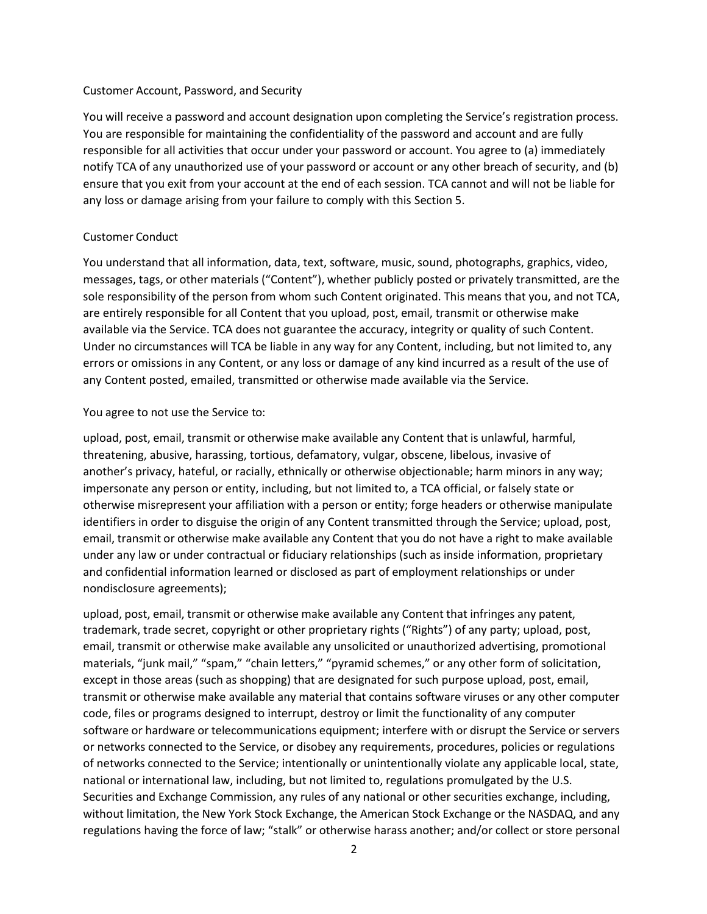#### Customer Account, Password, and Security

You will receive a password and account designation upon completing the Service's registration process. You are responsible for maintaining the confidentiality of the password and account and are fully responsible for all activities that occur under your password or account. You agree to (a) immediately notify TCA of any unauthorized use of your password or account or any other breach of security, and (b) ensure that you exit from your account at the end of each session. TCA cannot and will not be liable for any loss or damage arising from your failure to comply with this Section 5.

### Customer Conduct

You understand that all information, data, text, software, music, sound, photographs, graphics, video, messages, tags, or other materials ("Content"), whether publicly posted or privately transmitted, are the sole responsibility of the person from whom such Content originated. This means that you, and not TCA, are entirely responsible for all Content that you upload, post, email, transmit or otherwise make available via the Service. TCA does not guarantee the accuracy, integrity or quality of such Content. Under no circumstances will TCA be liable in any way for any Content, including, but not limited to, any errors or omissions in any Content, or any loss or damage of any kind incurred as a result of the use of any Content posted, emailed, transmitted or otherwise made available via the Service.

### You agree to not use the Service to:

upload, post, email, transmit or otherwise make available any Content that is unlawful, harmful, threatening, abusive, harassing, tortious, defamatory, vulgar, obscene, libelous, invasive of another's privacy, hateful, or racially, ethnically or otherwise objectionable; harm minors in any way; impersonate any person or entity, including, but not limited to, a TCA official, or falsely state or otherwise misrepresent your affiliation with a person or entity; forge headers or otherwise manipulate identifiers in order to disguise the origin of any Content transmitted through the Service; upload, post, email, transmit or otherwise make available any Content that you do not have a right to make available under any law or under contractual or fiduciary relationships (such as inside information, proprietary and confidential information learned or disclosed as part of employment relationships or under nondisclosure agreements);

upload, post, email, transmit or otherwise make available any Content that infringes any patent, trademark, trade secret, copyright or other proprietary rights ("Rights") of any party; upload, post, email, transmit or otherwise make available any unsolicited or unauthorized advertising, promotional materials, "junk mail," "spam," "chain letters," "pyramid schemes," or any other form of solicitation, except in those areas (such as shopping) that are designated for such purpose upload, post, email, transmit or otherwise make available any material that contains software viruses or any other computer code, files or programs designed to interrupt, destroy or limit the functionality of any computer software or hardware or telecommunications equipment; interfere with or disrupt the Service or servers or networks connected to the Service, or disobey any requirements, procedures, policies or regulations of networks connected to the Service; intentionally or unintentionally violate any applicable local, state, national or international law, including, but not limited to, regulations promulgated by the U.S. Securities and Exchange Commission, any rules of any national or other securities exchange, including, without limitation, the New York Stock Exchange, the American Stock Exchange or the NASDAQ, and any regulations having the force of law; "stalk" or otherwise harass another; and/or collect or store personal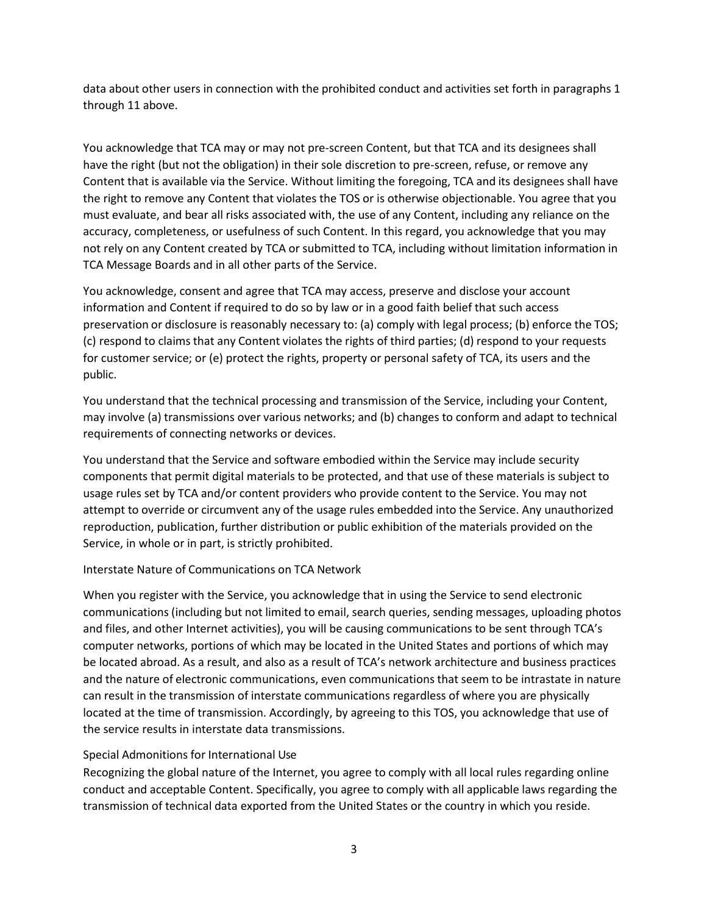data about other users in connection with the prohibited conduct and activities set forth in paragraphs 1 through 11 above.

You acknowledge that TCA may or may not pre-screen Content, but that TCA and its designees shall have the right (but not the obligation) in their sole discretion to pre-screen, refuse, or remove any Content that is available via the Service. Without limiting the foregoing, TCA and its designees shall have the right to remove any Content that violates the TOS or is otherwise objectionable. You agree that you must evaluate, and bear all risks associated with, the use of any Content, including any reliance on the accuracy, completeness, or usefulness of such Content. In this regard, you acknowledge that you may not rely on any Content created by TCA or submitted to TCA, including without limitation information in TCA Message Boards and in all other parts of the Service.

You acknowledge, consent and agree that TCA may access, preserve and disclose your account information and Content if required to do so by law or in a good faith belief that such access preservation or disclosure is reasonably necessary to: (a) comply with legal process; (b) enforce the TOS; (c) respond to claims that any Content violates the rights of third parties; (d) respond to your requests for customer service; or (e) protect the rights, property or personal safety of TCA, its users and the public.

You understand that the technical processing and transmission of the Service, including your Content, may involve (a) transmissions over various networks; and (b) changes to conform and adapt to technical requirements of connecting networks or devices.

You understand that the Service and software embodied within the Service may include security components that permit digital materials to be protected, and that use of these materials is subject to usage rules set by TCA and/or content providers who provide content to the Service. You may not attempt to override or circumvent any of the usage rules embedded into the Service. Any unauthorized reproduction, publication, further distribution or public exhibition of the materials provided on the Service, in whole or in part, is strictly prohibited.

### Interstate Nature of Communications on TCA Network

When you register with the Service, you acknowledge that in using the Service to send electronic communications (including but not limited to email, search queries, sending messages, uploading photos and files, and other Internet activities), you will be causing communications to be sent through TCA's computer networks, portions of which may be located in the United States and portions of which may be located abroad. As a result, and also as a result of TCA's network architecture and business practices and the nature of electronic communications, even communications that seem to be intrastate in nature can result in the transmission of interstate communications regardless of where you are physically located at the time of transmission. Accordingly, by agreeing to this TOS, you acknowledge that use of the service results in interstate data transmissions.

#### Special Admonitions for International Use

Recognizing the global nature of the Internet, you agree to comply with all local rules regarding online conduct and acceptable Content. Specifically, you agree to comply with all applicable laws regarding the transmission of technical data exported from the United States or the country in which you reside.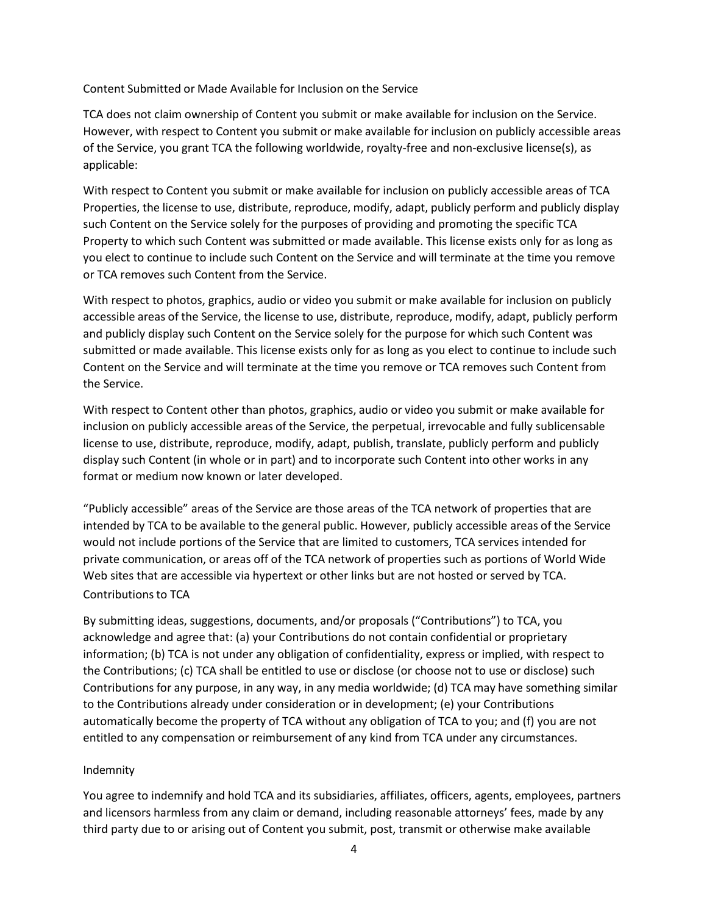Content Submitted or Made Available for Inclusion on the Service

TCA does not claim ownership of Content you submit or make available for inclusion on the Service. However, with respect to Content you submit or make available for inclusion on publicly accessible areas of the Service, you grant TCA the following worldwide, royalty-free and non-exclusive license(s), as applicable:

With respect to Content you submit or make available for inclusion on publicly accessible areas of TCA Properties, the license to use, distribute, reproduce, modify, adapt, publicly perform and publicly display such Content on the Service solely for the purposes of providing and promoting the specific TCA Property to which such Content was submitted or made available. This license exists only for as long as you elect to continue to include such Content on the Service and will terminate at the time you remove or TCA removes such Content from the Service.

With respect to photos, graphics, audio or video you submit or make available for inclusion on publicly accessible areas of the Service, the license to use, distribute, reproduce, modify, adapt, publicly perform and publicly display such Content on the Service solely for the purpose for which such Content was submitted or made available. This license exists only for as long as you elect to continue to include such Content on the Service and will terminate at the time you remove or TCA removes such Content from the Service.

With respect to Content other than photos, graphics, audio or video you submit or make available for inclusion on publicly accessible areas of the Service, the perpetual, irrevocable and fully sublicensable license to use, distribute, reproduce, modify, adapt, publish, translate, publicly perform and publicly display such Content (in whole or in part) and to incorporate such Content into other works in any format or medium now known or later developed.

"Publicly accessible" areas of the Service are those areas of the TCA network of properties that are intended by TCA to be available to the general public. However, publicly accessible areas of the Service would not include portions of the Service that are limited to customers, TCA services intended for private communication, or areas off of the TCA network of properties such as portions of World Wide Web sites that are accessible via hypertext or other links but are not hosted or served by TCA. Contributions to TCA

By submitting ideas, suggestions, documents, and/or proposals ("Contributions") to TCA, you acknowledge and agree that: (a) your Contributions do not contain confidential or proprietary information; (b) TCA is not under any obligation of confidentiality, express or implied, with respect to the Contributions; (c) TCA shall be entitled to use or disclose (or choose not to use or disclose) such Contributions for any purpose, in any way, in any media worldwide; (d) TCA may have something similar to the Contributions already under consideration or in development; (e) your Contributions automatically become the property of TCA without any obligation of TCA to you; and (f) you are not entitled to any compensation or reimbursement of any kind from TCA under any circumstances.

### Indemnity

You agree to indemnify and hold TCA and its subsidiaries, affiliates, officers, agents, employees, partners and licensors harmless from any claim or demand, including reasonable attorneys' fees, made by any third party due to or arising out of Content you submit, post, transmit or otherwise make available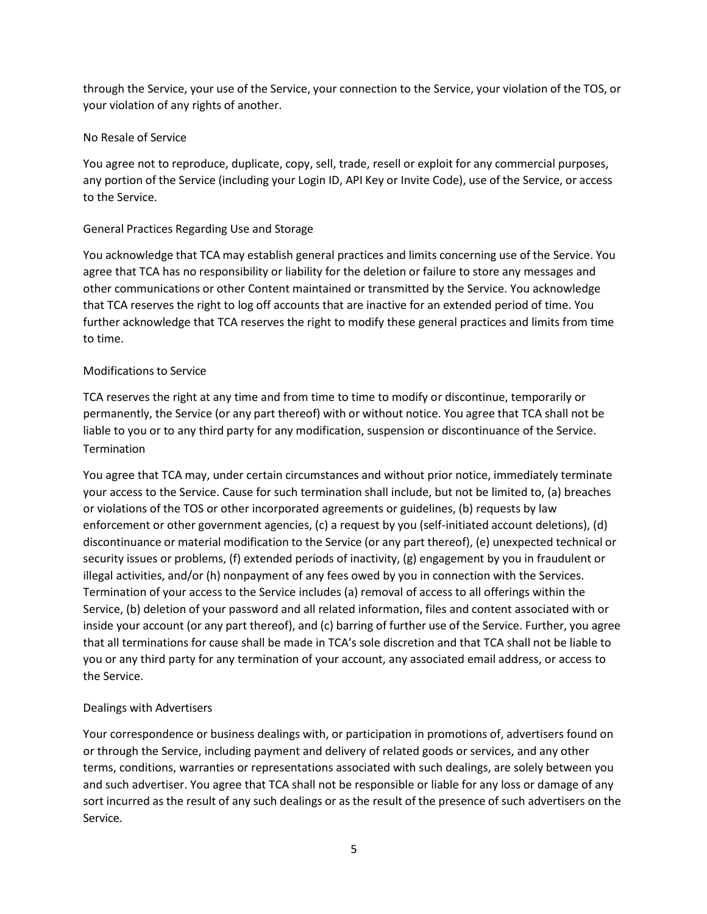through the Service, your use of the Service, your connection to the Service, your violation of the TOS, or your violation of any rights of another.

### No Resale of Service

You agree not to reproduce, duplicate, copy, sell, trade, resell or exploit for any commercial purposes, any portion of the Service (including your Login ID, API Key or Invite Code), use of the Service, or access to the Service.

# General Practices Regarding Use and Storage

You acknowledge that TCA may establish general practices and limits concerning use of the Service. You agree that TCA has no responsibility or liability for the deletion or failure to store any messages and other communications or other Content maintained or transmitted by the Service. You acknowledge that TCA reserves the right to log off accounts that are inactive for an extended period of time. You further acknowledge that TCA reserves the right to modify these general practices and limits from time to time.

# Modifications to Service

TCA reserves the right at any time and from time to time to modify or discontinue, temporarily or permanently, the Service (or any part thereof) with or without notice. You agree that TCA shall not be liable to you or to any third party for any modification, suspension or discontinuance of the Service. Termination

You agree that TCA may, under certain circumstances and without prior notice, immediately terminate your access to the Service. Cause for such termination shall include, but not be limited to, (a) breaches or violations of the TOS or other incorporated agreements or guidelines, (b) requests by law enforcement or other government agencies, (c) a request by you (self-initiated account deletions), (d) discontinuance or material modification to the Service (or any part thereof), (e) unexpected technical or security issues or problems, (f) extended periods of inactivity, (g) engagement by you in fraudulent or illegal activities, and/or (h) nonpayment of any fees owed by you in connection with the Services. Termination of your access to the Service includes (a) removal of access to all offerings within the Service, (b) deletion of your password and all related information, files and content associated with or inside your account (or any part thereof), and (c) barring of further use of the Service. Further, you agree that all terminations for cause shall be made in TCA's sole discretion and that TCA shall not be liable to you or any third party for any termination of your account, any associated email address, or access to the Service.

# Dealings with Advertisers

Your correspondence or business dealings with, or participation in promotions of, advertisers found on or through the Service, including payment and delivery of related goods or services, and any other terms, conditions, warranties or representations associated with such dealings, are solely between you and such advertiser. You agree that TCA shall not be responsible or liable for any loss or damage of any sort incurred as the result of any such dealings or as the result of the presence of such advertisers on the Service.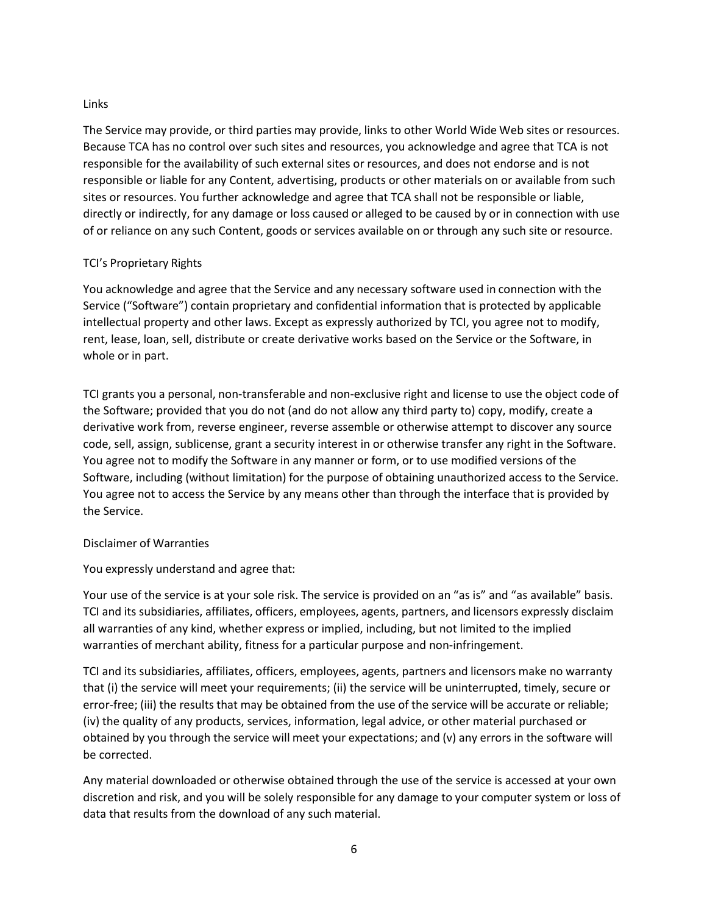### Links

The Service may provide, or third parties may provide, links to other World Wide Web sites or resources. Because TCA has no control over such sites and resources, you acknowledge and agree that TCA is not responsible for the availability of such external sites or resources, and does not endorse and is not responsible or liable for any Content, advertising, products or other materials on or available from such sites or resources. You further acknowledge and agree that TCA shall not be responsible or liable, directly or indirectly, for any damage or loss caused or alleged to be caused by or in connection with use of or reliance on any such Content, goods or services available on or through any such site or resource.

### TCI's Proprietary Rights

You acknowledge and agree that the Service and any necessary software used in connection with the Service ("Software") contain proprietary and confidential information that is protected by applicable intellectual property and other laws. Except as expressly authorized by TCI, you agree not to modify, rent, lease, loan, sell, distribute or create derivative works based on the Service or the Software, in whole or in part.

TCI grants you a personal, non-transferable and non-exclusive right and license to use the object code of the Software; provided that you do not (and do not allow any third party to) copy, modify, create a derivative work from, reverse engineer, reverse assemble or otherwise attempt to discover any source code, sell, assign, sublicense, grant a security interest in or otherwise transfer any right in the Software. You agree not to modify the Software in any manner or form, or to use modified versions of the Software, including (without limitation) for the purpose of obtaining unauthorized access to the Service. You agree not to access the Service by any means other than through the interface that is provided by the Service.

### Disclaimer of Warranties

### You expressly understand and agree that:

Your use of the service is at your sole risk. The service is provided on an "as is" and "as available" basis. TCI and its subsidiaries, affiliates, officers, employees, agents, partners, and licensors expressly disclaim all warranties of any kind, whether express or implied, including, but not limited to the implied warranties of merchant ability, fitness for a particular purpose and non-infringement.

TCI and its subsidiaries, affiliates, officers, employees, agents, partners and licensors make no warranty that (i) the service will meet your requirements; (ii) the service will be uninterrupted, timely, secure or error-free; (iii) the results that may be obtained from the use of the service will be accurate or reliable; (iv) the quality of any products, services, information, legal advice, or other material purchased or obtained by you through the service will meet your expectations; and (v) any errors in the software will be corrected.

Any material downloaded or otherwise obtained through the use of the service is accessed at your own discretion and risk, and you will be solely responsible for any damage to your computer system or loss of data that results from the download of any such material.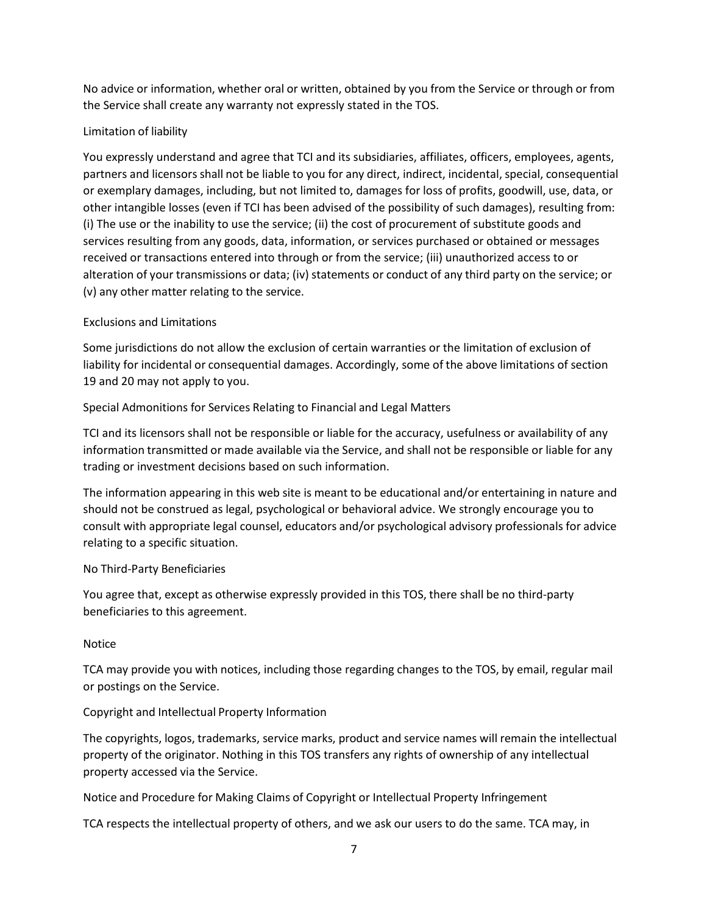No advice or information, whether oral or written, obtained by you from the Service or through or from the Service shall create any warranty not expressly stated in the TOS.

# Limitation of liability

You expressly understand and agree that TCI and its subsidiaries, affiliates, officers, employees, agents, partners and licensors shall not be liable to you for any direct, indirect, incidental, special, consequential or exemplary damages, including, but not limited to, damages for loss of profits, goodwill, use, data, or other intangible losses (even if TCI has been advised of the possibility of such damages), resulting from: (i) The use or the inability to use the service; (ii) the cost of procurement of substitute goods and services resulting from any goods, data, information, or services purchased or obtained or messages received or transactions entered into through or from the service; (iii) unauthorized access to or alteration of your transmissions or data; (iv) statements or conduct of any third party on the service; or (v) any other matter relating to the service.

# Exclusions and Limitations

Some jurisdictions do not allow the exclusion of certain warranties or the limitation of exclusion of liability for incidental or consequential damages. Accordingly, some of the above limitations of section 19 and 20 may not apply to you.

# Special Admonitions for Services Relating to Financial and Legal Matters

TCI and its licensors shall not be responsible or liable for the accuracy, usefulness or availability of any information transmitted or made available via the Service, and shall not be responsible or liable for any trading or investment decisions based on such information.

The information appearing in this web site is meant to be educational and/or entertaining in nature and should not be construed as legal, psychological or behavioral advice. We strongly encourage you to consult with appropriate legal counsel, educators and/or psychological advisory professionals for advice relating to a specific situation.

### No Third-Party Beneficiaries

You agree that, except as otherwise expressly provided in this TOS, there shall be no third-party beneficiaries to this agreement.

### Notice

TCA may provide you with notices, including those regarding changes to the TOS, by email, regular mail or postings on the Service.

### Copyright and Intellectual Property Information

The copyrights, logos, trademarks, service marks, product and service names will remain the intellectual property of the originator. Nothing in this TOS transfers any rights of ownership of any intellectual property accessed via the Service.

Notice and Procedure for Making Claims of Copyright or Intellectual Property Infringement

TCA respects the intellectual property of others, and we ask our users to do the same. TCA may, in